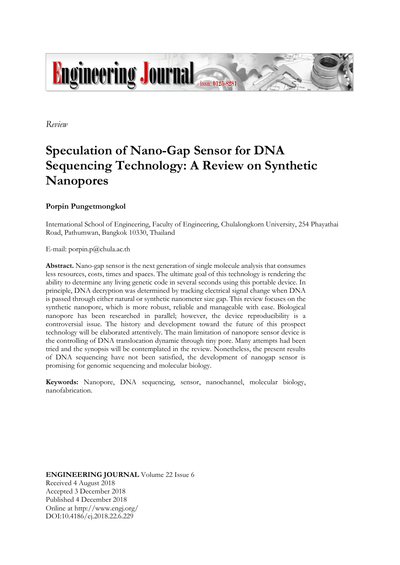

*Review*

# **Speculation of Nano-Gap Sensor for DNA Sequencing Technology: A Review on Synthetic Nanopores**

## **Porpin Pungetmongkol**

International School of Engineering, Faculty of Engineering, Chulalongkorn University, 254 Phayathai Road, Pathumwan, Bangkok 10330, Thailand

E-mail: porpin.p@chula.ac.th

**Abstract.** Nano-gap sensor is the next generation of single molecule analysis that consumes less resources, costs, times and spaces. The ultimate goal of this technology is rendering the ability to determine any living genetic code in several seconds using this portable device. In principle, DNA decryption was determined by tracking electrical signal change when DNA is passed through either natural or synthetic nanometer size gap. This review focuses on the synthetic nanopore, which is more robust, reliable and manageable with ease. Biological nanopore has been researched in parallel; however, the device reproducibility is a controversial issue. The history and development toward the future of this prospect technology will be elaborated attentively. The main limitation of nanopore sensor device is the controlling of DNA translocation dynamic through tiny pore. Many attempts had been tried and the synopsis will be contemplated in the review. Nonetheless, the present results of DNA sequencing have not been satisfied, the development of nanogap sensor is promising for genomic sequencing and molecular biology.

**Keywords:** Nanopore, DNA sequencing, sensor, nanochannel, molecular biology, nanofabrication.

**ENGINEERING JOURNAL** Volume 22 Issue 6 Received 4 August 2018 Accepted 3 December 2018 Published 4 December 2018 Online at http://www.engj.org/ DOI:10.4186/ej.2018.22.6.229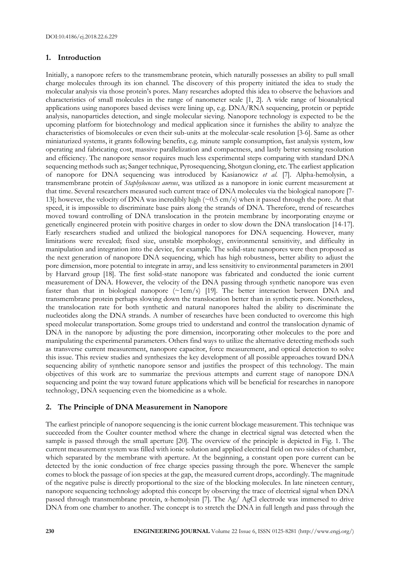## **1. Introduction**

Initially, a nanopore refers to the transmembrane protein, which naturally possesses an ability to pull small charge molecules through its ion channel. The discovery of this property initiated the idea to study the molecular analysis via those protein's pores. Many researches adopted this idea to observe the behaviors and characteristics of small molecules in the range of nanometer scale [1, 2]. A wide range of bioanalytical applications using nanopores based devises were lining up, e.g. DNA/RNA sequencing, protein or peptide analysis, nanoparticles detection, and single molecular sieving. Nanopore technology is expected to be the upcoming platform for biotechnology and medical application since it furnishes the ability to analyze the characteristics of biomolecules or even their sub-units at the molecular-scale resolution [3-6]. Same as other miniaturized systems, it grants following benefits, e.g. minute sample consumption, fast analysis system, low operating and fabricating cost, massive parallelization and compactness, and lastly better sensing resolution and efficiency. The nanopore sensor requires much less experimental steps comparing with standard DNA sequencing methods such as; Sanger technique, Pyrosequencing, Shotgun cloning, etc. The earliest application of nanopore for DNA sequencing was introduced by Kasianowicz *et al*. [7]. Alpha-hemolysin, a transmembrane protein of *Staphylococcus aureus*, was utilized as a nanopore in ionic current measurement at that time. Several researchers measured such current trace of DNA molecules via the biological nanopore [7- 13]; however, the velocity of DNA was incredibly high (~0.5 cm/s) when it passed through the pore. At that speed, it is impossible to discriminate base pairs along the strands of DNA. Therefore, trend of researches moved toward controlling of DNA translocation in the protein membrane by incorporating enzyme or genetically engineered protein with positive charges in order to slow down the DNA translocation [14-17]. Early researchers studied and utilized the biological nanopores for DNA sequencing. However, many limitations were revealed; fixed size, unstable morphology, environmental sensitivity, and difficulty in manipulation and integration into the device, for example. The solid-state nanopores were then proposed as the next generation of nanopore DNA sequencing, which has high robustness, better ability to adjust the pore dimension, more potential to integrate in array, and less sensitivity to environmental parameters in 2001 by Harvard group [18]. The first solid-state nanopore was fabricated and conducted the ionic current measurement of DNA. However, the velocity of the DNA passing through synthetic nanopore was even faster than that in biological nanopore (~1cm/s) [19]. The better interaction between DNA and transmembrane protein perhaps slowing down the translocation better than in synthetic pore. Nonetheless, the translocation rate for both synthetic and natural nanopores halted the ability to discriminate the nucleotides along the DNA strands. A number of researches have been conducted to overcome this high speed molecular transportation. Some groups tried to understand and control the translocation dynamic of DNA in the nanopore by adjusting the pore dimension, incorporating other molecules to the pore and manipulating the experimental parameters. Others find ways to utilize the alternative detecting methods such as transverse current measurement, nanopore capacitor, force measurement, and optical detection to solve this issue. This review studies and synthesizes the key development of all possible approaches toward DNA sequencing ability of synthetic nanopore sensor and justifies the prospect of this technology. The main objectives of this work are to summarize the previous attempts and current stage of nanopore DNA sequencing and point the way toward future applications which will be beneficial for researches in nanopore technology, DNA sequencing even the biomedicine as a whole.

## **2. The Principle of DNA Measurement in Nanopore**

The earliest principle of nanopore sequencing is the ionic current blockage measurement. This technique was succeeded from the Coulter counter method where the change in electrical signal was detected when the sample is passed through the small aperture [20]. The overview of the principle is depicted in Fig. 1. The current measurement system was filled with ionic solution and applied electrical field on two sides of chamber, which separated by the membrane with aperture. At the beginning, a constant open pore current can be detected by the ionic conduction of free charge species passing through the pore. Whenever the sample comes to block the passage of ion species at the gap, the measured current drops, accordingly. The magnitude of the negative pulse is directly proportional to the size of the blocking molecules. In late nineteen century, nanopore sequencing technology adopted this concept by observing the trace of electrical signal when DNA passed through transmembrane protein, α-hemolysin [7]. The Ag/ AgCl electrode was immersed to drive DNA from one chamber to another. The concept is to stretch the DNA in full length and pass through the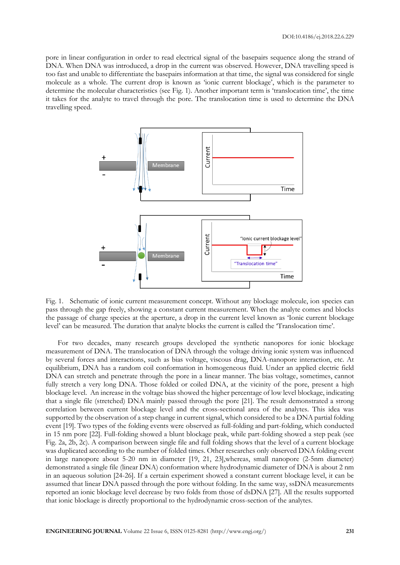pore in linear configuration in order to read electrical signal of the basepairs sequence along the strand of DNA. When DNA was introduced, a drop in the current was observed. However, DNA travelling speed is too fast and unable to differentiate the basepairs information at that time, the signal was considered for single molecule as a whole. The current drop is known as 'ionic current blockage', which is the parameter to determine the molecular characteristics (see Fig. 1). Another important term is 'translocation time', the time it takes for the analyte to travel through the pore. The translocation time is used to determine the DNA travelling speed.



Fig. 1. Schematic of ionic current measurement concept. Without any blockage molecule, ion species can pass through the gap freely, showing a constant current measurement. When the analyte comes and blocks the passage of charge species at the aperture, a drop in the current level known as 'Ionic current blockage level' can be measured. The duration that analyte blocks the current is called the 'Translocation time'.

For two decades, many research groups developed the synthetic nanopores for ionic blockage measurement of DNA. The translocation of DNA through the voltage driving ionic system was influenced by several forces and interactions, such as bias voltage, viscous drag, DNA-nanopore interaction, etc. At equilibrium, DNA has a random coil conformation in homogeneous fluid. Under an applied electric field DNA can stretch and penetrate through the pore in a linear manner. The bias voltage, sometimes, cannot fully stretch a very long DNA. Those folded or coiled DNA, at the vicinity of the pore, present a high blockage level. An increase in the voltage bias showed the higher percentage of low level blockage, indicating that a single file (stretched) DNA mainly passed through the pore [21]. The result demonstrated a strong correlation between current blockage level and the cross-sectional area of the analytes. This idea was supported by the observation of a step change in current signal, which considered to be a DNA partial folding event [19]. Two types of the folding events were observed as full-folding and part-folding, which conducted in 15 nm pore [22]. Full-folding showed a blunt blockage peak, while part-folding showed a step peak (see Fig. 2a, 2b, 2c). A comparison between single file and full folding shows that the level of a current blockage was duplicated according to the number of folded times. Other researches only observed DNA folding event in large nanopore about 5-20 nm in diameter [19, 21, 23],whereas, small nanopore (2-5nm diameter) demonstrated a single file (linear DNA) conformation where hydrodynamic diameter of DNA is about 2 nm in an aqueous solution [24-26]. If a certain experiment showed a constant current blockage level, it can be assumed that linear DNA passed through the pore without folding. In the same way, ssDNA measurements reported an ionic blockage level decrease by two folds from those of dsDNA [27]. All the results supported that ionic blockage is directly proportional to the hydrodynamic cross-section of the analytes.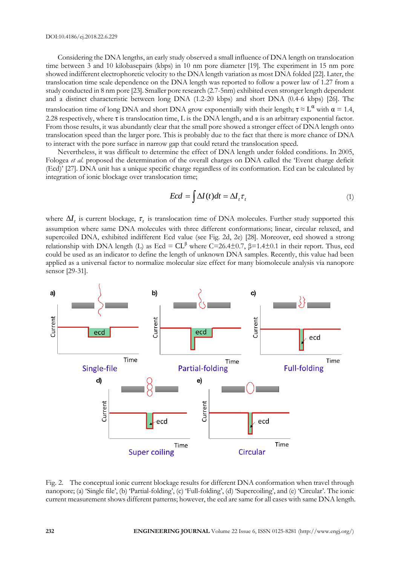Considering the DNA lengths, an early study observed a small influence of DNA length on translocation time between 3 and 10 kilobasepairs (kbps) in 10 nm pore diameter [19]. The experiment in 15 nm pore showed indifferent electrophoretic velocity to the DNA length variation as most DNA folded [22]. Later, the translocation time scale dependence on the DNA length was reported to follow a power law of 1.27 from a study conducted in 8 nm pore [23]. Smaller pore research (2.7-5nm) exhibited even stronger length dependent and a distinct characteristic between long DNA (1.2-20 kbps) and short DNA (0.4-6 kbps) [26]. The translocation time of long DNA and short DNA grow exponentially with their length;  $\tau \approx L^{\alpha}$  with  $\alpha = 1.4$ , 2.28 respectively, where  $\tau$  is translocation time, L is the DNA length, and  $\alpha$  is an arbitrary exponential factor. From those results, it was abundantly clear that the small pore showed a stronger effect of DNA length onto translocation speed than the larger pore. This is probably due to the fact that there is more chance of DNA to interact with the pore surface in narrow gap that could retard the translocation speed.

Nevertheless, it was difficult to determine the effect of DNA length under folded conditions. In 2005, Fologea *et al*. proposed the determination of the overall charges on DNA called the 'Event charge deficit (Ecd)' [27]. DNA unit has a unique specific charge regardless of its conformation. Ecd can be calculated by integration of ionic blockage over translocation time;

$$
Ecd = \int \Delta I(t)dt = \Delta I_t \tau_t \tag{1}
$$

where  $\Delta I_t$  is current blockage,  $\tau_t$  is translocation time of DNA molecules. Further study supported this assumption where same DNA molecules with three different conformations; linear, circular relaxed, and supercoiled DNA, exhibited indifferent Ecd value (see Fig. 2d, 2e) [28]. Moreover, ecd showed a strong relationship with DNA length (L) as Ecd =  $CL^{\beta}$  where C=26.4±0.7,  $\beta$ =1.4±0.1 in their report. Thus, ecd could be used as an indicator to define the length of unknown DNA samples. Recently, this value had been applied as a universal factor to normalize molecular size effect for many biomolecule analysis via nanopore sensor [29-31].



Fig. 2. The conceptual ionic current blockage results for different DNA conformation when travel through nanopore; (a) 'Single file', (b) 'Partial-folding', (c) 'Full-folding', (d) 'Supercoiling', and (e) 'Circular'. The ionic current measurement shows different patterns; however, the ecd are same for all cases with same DNA length.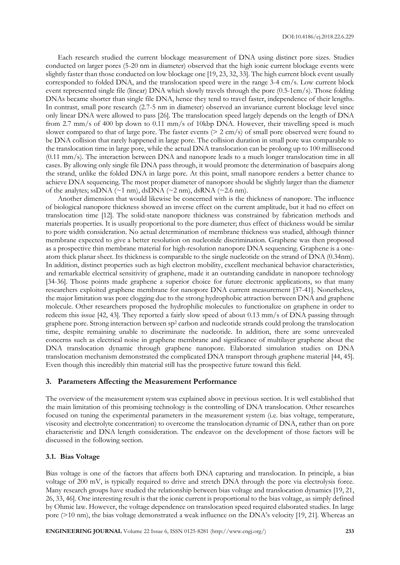Each research studied the current blockage measurement of DNA using distinct pore sizes. Studies conducted on larger pores (5-20 nm in diameter) observed that the high ionic current blockage events were slightly faster than those conducted on low blockage one [19, 23, 32, 33]. The high current block event usually corresponded to folded DNA, and the translocation speed were in the range 3-4 cm/s. Low current block event represented single file (linear) DNA which slowly travels through the pore (0.5-1cm/s). Those folding DNAs became shorter than single file DNA, hence they tend to travel faster, independence of their lengths. In contrast, small pore research (2.7-5 nm in diameter) observed an invariance current blockage level since only linear DNA were allowed to pass [26]. The translocation speed largely depends on the length of DNA from 2.7 mm/s of 400 bp down to 0.11 mm/s of 10kbp DNA. However, their travelling speed is much slower compared to that of large pore. The faster events (> 2 cm/s) of small pore observed were found to be DNA collision that rarely happened in large pore. The collision duration in small pore was comparable to the translocation time in large pore, while the actual DNA translocation can be prolong up to 100 millisecond (0.11 mm/s). The interaction between DNA and nanopore leads to a much longer translocation time in all cases. By allowing only single file DNA pass through, it would promote the determination of basepairs along the strand, unlike the folded DNA in large pore. At this point, small nanopore renders a better chance to achieve DNA sequencing. The most proper diameter of nanopore should be slightly larger than the diameter of the analytes; ssDNA ( $\sim$ 1 nm), dsDNA ( $\sim$ 2 nm), dsRNA ( $\sim$ 2.6 nm).

Another dimension that would likewise be concerned with is the thickness of nanopore. The influence of biological nanopore thickness showed an inverse effect on the current amplitude, but it had no effect on translocation time [12]. The solid-state nanopore thickness was constrained by fabrication methods and materials properties. It is usually proportional to the pore diameter; thus effect of thickness would be similar to pore width consideration. No actual determination of membrane thickness was studied, although thinner membrane expected to give a better resolution on nucleotide discrimination. Graphene was then proposed as a prospective thin membrane material for high-resolution nanopore DNA sequencing. Graphene is a oneatom thick planar sheet. Its thickness is comparable to the single nucleotide on the strand of DNA (0.34nm). In addition, distinct properties such as high electron mobility, excellent mechanical behavior characteristics, and remarkable electrical sensitivity of graphene, made it an outstanding candidate in nanopore technology [34-36]. Those points made graphene a superior choice for future electronic applications, so that many researchers exploited graphene membrane for nanopore DNA current measurement [37-41]. Nonetheless, the major limitation was pore clogging due to the strong hydrophobic attraction between DNA and graphene molecule. Other researchers proposed the hydrophilic molecules to functionalize on graphene in order to redeem this issue [42, 43]. They reported a fairly slow speed of about 0.13 mm/s of DNA passing through graphene pore. Strong interaction between sp<sup>2</sup> carbon and nucleotide strands could prolong the translocation time, despite remaining unable to discriminate the nucleotide. In addition, there are some unrevealed concerns such as electrical noise in graphene membrane and significance of multilayer graphene about the DNA translocation dynamic through graphene nanopore. Elaborated simulation studies on DNA translocation mechanism demonstrated the complicated DNA transport through graphene material [44, 45]. Even though this incredibly thin material still has the prospective future toward this field.

## **3. Parameters Affecting the Measurement Performance**

The overview of the measurement system was explained above in previous section. It is well established that the main limitation of this promising technology is the controlling of DNA translocation. Other researches focused on tuning the experimental parameters in the measurement system (i.e. bias voltage, temperature, viscosity and electrolyte concentration) to overcome the translocation dynamic of DNA, rather than on pore characteristic and DNA length consideration. The endeavor on the development of those factors will be discussed in the following section.

#### **3.1. Bias Voltage**

Bias voltage is one of the factors that affects both DNA capturing and translocation. In principle, a bias voltage of 200 mV, is typically required to drive and stretch DNA through the pore via electrolysis force. Many research groups have studied the relationship between bias voltage and translocation dynamics [19, 21, 26, 33, 46]. One interesting result is that the ionic current is proportional to the bias voltage, as simply defined by Ohmic law. However, the voltage dependence on translocation speed required elaborated studies. In large pore (>10 nm), the bias voltage demonstrated a weak influence on the DNA's velocity [19, 21]. Whereas an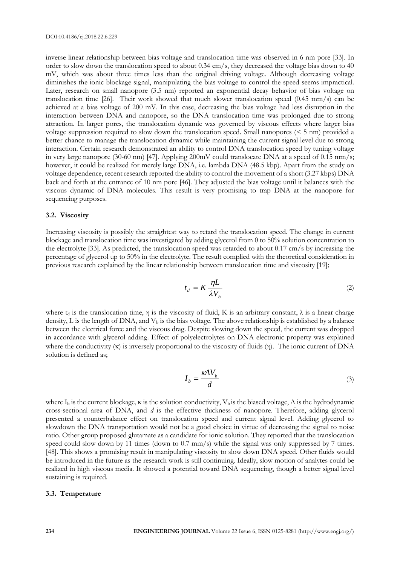inverse linear relationship between bias voltage and translocation time was observed in 6 nm pore [33]. In order to slow down the translocation speed to about 0.34 cm/s, they decreased the voltage bias down to 40 mV, which was about three times less than the original driving voltage. Although decreasing voltage diminishes the ionic blockage signal, manipulating the bias voltage to control the speed seems impractical. Later, research on small nanopore (3.5 nm) reported an exponential decay behavior of bias voltage on translocation time [26]. Their work showed that much slower translocation speed (0.45 mm/s) can be achieved at a bias voltage of 200 mV. In this case, decreasing the bias voltage had less disruption in the interaction between DNA and nanopore, so the DNA translocation time was prolonged due to strong attraction. In larger pores, the translocation dynamic was governed by viscous effects where larger bias voltage suppression required to slow down the translocation speed. Small nanopores  $(< 5 \text{ nm}$ ) provided a better chance to manage the translocation dynamic while maintaining the current signal level due to strong interaction. Certain research demonstrated an ability to control DNA translocation speed by tuning voltage in very large nanopore (30-60 nm) [47]. Applying 200mV could translocate DNA at a speed of 0.15 mm/s; however, it could be realized for merely large DNA, i.e. lambda DNA (48.5 kbp). Apart from the study on voltage dependence, recent research reported the ability to control the movement of a short (3.27 kbps) DNA back and forth at the entrance of 10 nm pore [46]. They adjusted the bias voltage until it balances with the viscous dynamic of DNA molecules. This result is very promising to trap DNA at the nanopore for sequencing purposes.

#### **3.2. Viscosity**

Increasing viscosity is possibly the straightest way to retard the translocation speed. The change in current blockage and translocation time was investigated by adding glycerol from 0 to 50% solution concentration to the electrolyte [33]. As predicted, the translocation speed was retarded to about  $0.17 \text{ cm/s}$  by increasing the percentage of glycerol up to 50% in the electrolyte. The result complied with the theoretical consideration in previous research explained by the linear relationship between translocation time and viscosity [19];

$$
t_d = K \frac{\eta L}{\lambda V_b} \tag{2}
$$

where  $t_d$  is the translocation time,  $\eta$  is the viscosity of fluid, K is an arbitrary constant,  $\lambda$  is a linear charge density, L is the length of DNA, and  $V<sub>b</sub>$  is the bias voltage. The above relationship is established by a balance between the electrical force and the viscous drag. Despite slowing down the speed, the current was dropped in accordance with glycerol adding. Effect of polyelectrolytes on DNA electronic property was explained where the conductivity  $(\kappa)$  is inversely proportional to the viscosity of fluids  $(\eta)$ . The ionic current of DNA solution is defined as;

$$
I_b = \frac{\kappa A V_b}{d} \tag{3}
$$

where  $I_b$  is the current blockage,  $\kappa$  is the solution conductivity,  $V_b$  is the biased voltage, A is the hydrodynamic cross-sectional area of DNA, and *d* is the effective thickness of nanopore. Therefore, adding glycerol presented a counterbalance effect on translocation speed and current signal level. Adding glycerol to slowdown the DNA transportation would not be a good choice in virtue of decreasing the signal to noise ratio. Other group proposed glutamate as a candidate for ionic solution. They reported that the translocation speed could slow down by 11 times (down to 0.7 mm/s) while the signal was only suppressed by 7 times. [48]. This shows a promising result in manipulating viscosity to slow down DNA speed. Other fluids would be introduced in the future as the research work is still continuing. Ideally, slow motion of analytes could be realized in high viscous media. It showed a potential toward DNA sequencing, though a better signal level sustaining is required.

#### **3.3. Temperature**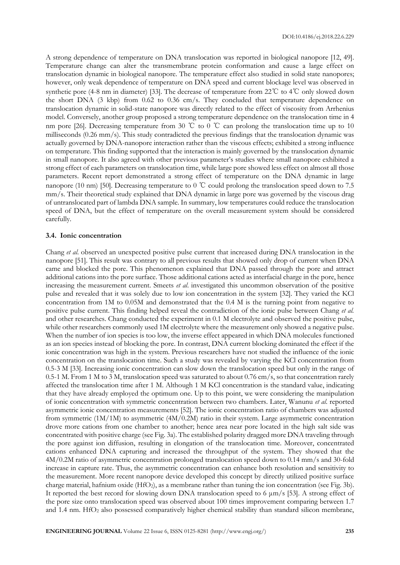A strong dependence of temperature on DNA translocation was reported in biological nanopore [12, 49]. Temperature change can alter the transmembrane protein conformation and cause a large effect on translocation dynamic in biological nanopore. The temperature effect also studied in solid state nanopores; however, only weak dependence of temperature on DNA speed and current blockage level was observed in synthetic pore (4-8 nm in diameter) [33]. The decrease of temperature from 22℃ to 4℃ only slowed down the short DNA (3 kbp) from 0.62 to 0.36 cm/s. They concluded that temperature dependence on translocation dynamic in solid-state nanopore was directly related to the effect of viscosity from Arrhenius model. Conversely, another group proposed a strong temperature dependence on the translocation time in 4 nm pore [26]. Decreasing temperature from 30 ℃ to 0 ℃ can prolong the translocation time up to 10 milliseconds (0.26 mm/s). This study contradicted the previous findings that the translocation dynamic was actually governed by DNA-nanopore interaction rather than the viscous effects; exhibited a strong influence on temperature. This finding supported that the interaction is mainly governed by the translocation dynamic in small nanopore. It also agreed with other previous parameter's studies where small nanopore exhibited a strong effect of each parameters on translocation time, while large pore showed less effect on almost all those parameters. Recent report demonstrated a strong effect of temperature on the DNA dynamic in large nanopore (10 nm) [50]. Decreasing temperature to 0 ℃ could prolong the translocation speed down to 7.5 mm/s. Their theoretical study explained that DNA dynamic in large pore was governed by the viscous drag of untranslocated part of lambda DNA sample. In summary, low temperatures could reduce the translocation speed of DNA, but the effect of temperature on the overall measurement system should be considered carefully.

## **3.4. Ionic concentration**

Chang *et al*. observed an unexpected positive pulse current that increased during DNA translocation in the nanopore [51]. This result was contrary to all previous results that showed only drop of current when DNA came and blocked the pore. This phenomenon explained that DNA passed through the pore and attract additional cations into the pore surface. Those additional cations acted as interfacial charge in the pore, hence increasing the measurement current. Smeets *et al*. investigated this uncommon observation of the positive pulse and revealed that it was solely due to low ion concentration in the system [32]. They varied the KCl concentration from 1M to 0.05M and demonstrated that the 0.4 M is the turning point from negative to positive pulse current. This finding helped reveal the contradiction of the ionic pulse between Chang *et al.* and other researches. Chang conducted the experiment in 0.1 M electrolyte and observed the positive pulse, while other researchers commonly used 1M electrolyte where the measurement only showed a negative pulse. When the number of ion species is too low, the inverse effect appeared in which DNA molecules functioned as an ion species instead of blocking the pore. In contrast, DNA current blocking dominated the effect if the ionic concentration was high in the system. Previous researchers have not studied the influence of the ionic concentration on the translocation time. Such a study was revealed by varying the KCl concentration from 0.5-3 M [33]. Increasing ionic concentration can slow down the translocation speed but only in the range of 0.5-1 M. From 1 M to 3 M, translocation speed was saturated to about 0.76 cm/s, so that concentration rarely affected the translocation time after 1 M. Although 1 M KCl concentration is the standard value, indicating that they have already employed the optimum one. Up to this point, we were considering the manipulation of ionic concentration with symmetric concentration between two chambers. Later, Wanunu *et al*. reported asymmetric ionic concentration measurements [52]. The ionic concentration ratio of chambers was adjusted from symmetric  $(1M/1M)$  to asymmetric  $(4M/0.2M)$  ratio in their system. Large asymmetric concentration drove more cations from one chamber to another; hence area near pore located in the high salt side was concentrated with positive charge (see Fig. 3a). The established polarity dragged more DNA traveling through the pore against ion diffusion, resulting in elongation of the translocation time. Moreover, concentrated cations enhanced DNA capturing and increased the throughput of the system. They showed that the 4M/0.2M ratio of asymmetric concentration prolonged translocation speed down to 0.14 mm/s and 30-fold increase in capture rate. Thus, the asymmetric concentration can enhance both resolution and sensitivity to the measurement. More recent nanopore device developed this concept by directly utilized positive surface charge material, hafnium oxide (HfO<sub>2</sub>), as a membrane rather than tuning the ion concentration (see Fig. 3b). It reported the best record for slowing down DNA translocation speed to 6 μm/s [53]. A strong effect of the pore size onto translocation speed was observed about 100 times improvement comparing between 1.7 and 1.4 nm.  $HfO<sub>2</sub>$  also possessed comparatively higher chemical stability than standard silicon membrane,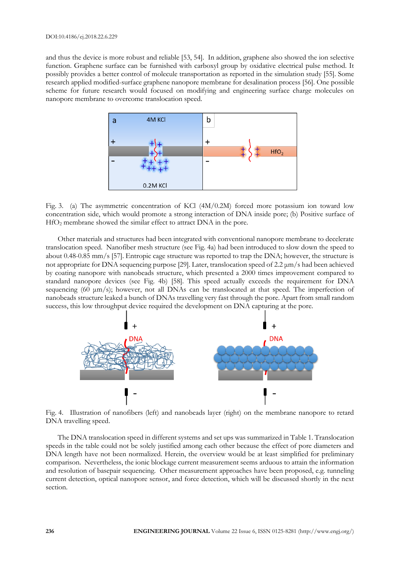and thus the device is more robust and reliable [53, 54]. In addition, graphene also showed the ion selective function. Graphene surface can be furnished with carboxyl group by oxidative electrical pulse method. It possibly provides a better control of molecule transportation as reported in the simulation study [55]. Some research applied modified-surface graphene nanopore membrane for desalination process [56]. One possible scheme for future research would focused on modifying and engineering surface charge molecules on nanopore membrane to overcome translocation speed.



Fig. 3. (a) The asymmetric concentration of KCl (4M/0.2M) forced more potassium ion toward low concentration side, which would promote a strong interaction of DNA inside pore; (b) Positive surface of HfO<sup>2</sup> membrane showed the similar effect to attract DNA in the pore.

Other materials and structures had been integrated with conventional nanopore membrane to decelerate translocation speed. Nanofiber mesh structure (see Fig. 4a) had been introduced to slow down the speed to about 0.48-0.85 mm/s [57]. Entropic cage structure was reported to trap the DNA; however, the structure is not appropriate for DNA sequencing purpose [29]. Later, translocation speed of 2.2 μm/s had been achieved by coating nanopore with nanobeads structure, which presented a 2000 times improvement compared to standard nanopore devices (see Fig. 4b) [58]. This speed actually exceeds the requirement for DNA sequencing (60 μm/s); however, not all DNAs can be translocated at that speed. The imperfection of nanobeads structure leaked a bunch of DNAs travelling very fast through the pore. Apart from small random success, this low throughput device required the development on DNA capturing at the pore.



Fig. 4. Illustration of nanofibers (left) and nanobeads layer (right) on the membrane nanopore to retard DNA travelling speed.

The DNA translocation speed in different systems and set ups was summarized in Table 1. Translocation speeds in the table could not be solely justified among each other because the effect of pore diameters and DNA length have not been normalized. Herein, the overview would be at least simplified for preliminary comparison. Nevertheless, the ionic blockage current measurement seems arduous to attain the information and resolution of basepair sequencing. Other measurement approaches have been proposed, e.g. tunneling current detection, optical nanopore sensor, and force detection, which will be discussed shortly in the next section.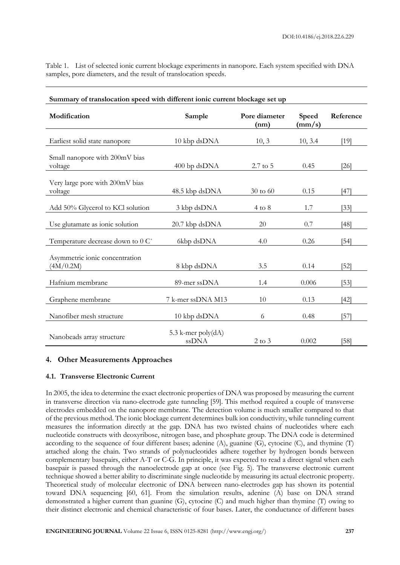| Table 1. List of selected ionic current blockage experiments in nanopore. Each system specified with DNA |  |  |  |  |
|----------------------------------------------------------------------------------------------------------|--|--|--|--|
| samples, pore diameters, and the result of translocation speeds.                                         |  |  |  |  |

| Summary of translocation speed with different ionic current blockage set up |                             |                       |                          |                   |  |  |  |
|-----------------------------------------------------------------------------|-----------------------------|-----------------------|--------------------------|-------------------|--|--|--|
| Modification                                                                | Sample                      | Pore diameter<br>(nm) | Speed<br>$\text{(mm/s)}$ | Reference         |  |  |  |
| Earliest solid state nanopore                                               | 10 kbp dsDNA                | 10, 3                 | 10, 3.4                  | [19]              |  |  |  |
| Small nanopore with 200mV bias<br>voltage                                   | 400 bp dsDNA                | $2.7 \text{ to } 5$   | 0.45                     | [26]              |  |  |  |
| Very large pore with 200mV bias<br>voltage                                  | 48.5 kbp dsDNA              | $30 \text{ to } 60$   | 0.15                     | [47]              |  |  |  |
| Add 50% Glycerol to KCl solution                                            | 3 kbp dsDNA                 | $4 \text{ to } 8$     | 1.7                      | $\left[33\right]$ |  |  |  |
| Use glutamate as ionic solution                                             | 20.7 kbp dsDNA              | 20                    | 0.7                      | $[48]$            |  |  |  |
| Temperature decrease down to 0 C°                                           | 6kbp dsDNA                  | 4.0                   | 0.26                     | $[54]$            |  |  |  |
| Asymmetric ionic concentration<br>(4M/0.2M)                                 | 8 kbp dsDNA                 | 3.5                   | 0.14                     | [52]              |  |  |  |
| Hafnium membrane                                                            | 89-mer ssDNA                | 1.4                   | 0.006                    | $[53]$            |  |  |  |
| Graphene membrane                                                           | 7 k-mer ssDNA M13           | 10                    | 0.13                     | [42]              |  |  |  |
| Nanofiber mesh structure                                                    | 10 kbp dsDNA                | 6                     | 0.48                     | $\sqrt{57}$       |  |  |  |
| Nanobeads array structure                                                   | 5.3 k-mer poly(dA)<br>ssDNA | $2$ to $3$            | 0.002                    | [58]              |  |  |  |

## **4. Other Measurements Approaches**

## **4.1. Transverse Electronic Current**

In 2005, the idea to determine the exact electronic properties of DNA was proposed by measuring the current in transverse direction via nano-electrode gate tunneling [59]. This method required a couple of transverse electrodes embedded on the nanopore membrane. The detection volume is much smaller compared to that of the previous method. The ionic blockage current determines bulk ion conductivity, while tunneling current measures the information directly at the gap. DNA has two twisted chains of nucleotides where each nucleotide constructs with deoxyribose, nitrogen base, and phosphate group. The DNA code is determined according to the sequence of four different bases; adenine  $(A)$ , guanine  $(G)$ , cytocine  $(C)$ , and thymine  $(T)$ attached along the chain. Two strands of polynucleotides adhere together by hydrogen bonds between complementary basepairs, either A-T or C-G. In principle, it was expected to read a direct signal when each basepair is passed through the nanoelectrode gap at once (see Fig. 5). The transverse electronic current technique showed a better ability to discriminate single nucleotide by measuring its actual electronic property. Theoretical study of molecular electronic of DNA between nano-electrodes gap has shown its potential toward DNA sequencing [60, 61]. From the simulation results, adenine (A) base on DNA strand demonstrated a higher current than guanine (G), cytocine (C) and much higher than thymine (T) owing to their distinct electronic and chemical characteristic of four bases. Later, the conductance of different bases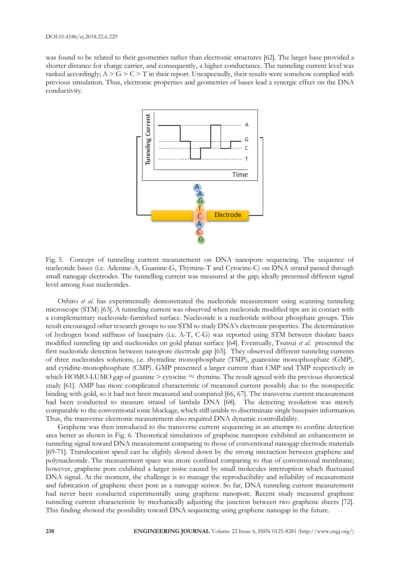was found to be related to their geometries rather than electronic structures [62]. The larger base provided a shorter distance for charge carrier, and consequently, a higher conductance. The tunneling current level was ranked accordingly;  $A > G > C > T$  in their report. Unexpectedly, their results were somehow complied with previous simulation. Thus, electronic properties and geometries of bases lead a synergic effect on the DNA conductivity.



Fig. 5. Concept of tunneling current measurement on DNA nanopore sequencing. The sequence of nucleotide bases (i.e. Adenine-A, Guanine-G, Thymine-T and Cytocine-C) on DNA strand passed through small nanogap electrodes. The tunnelling current was measured at the gap; ideally presented different signal level among four nucleotides.

Oshiro *et al*. has experimentally demonstrated the nucleotide measurement using scanning tunneling microscope (STM) [63]. A tunneling current was observed when nucleoside modified tips are in contact with a complementary nucleoside-furnished surface. Nucleoside is a nucleotide without phosphate groups. This result encouraged other research groups to use STM to study DNA's electronic properties. The determination of hydrogen bond stiffness of basepairs (i.e. A-T, C-G) was reported using STM between thiolate bases modified tunneling tip and nucleosides on gold planar surface [64]. Eventually, Tsutsui *et al*. presented the first nucleotide detection between nanopore electrode gap [65]. They observed different tunneling currents of three nucleotides solutions, i.e. thymidine monophosphate (TMP), guanosine monophosphate (GMP), and cytidine-monophosphate (CMP). GMP presented a larger current than CMP and TMP respectively in which HOMO-LUMO gap of guanine  $>$  cytocine  $\approx$  thymine. The result agreed with the previous theoretical study [61]. AMP has more complicated characteristic of measured current possibly due to the nonspecific binding with gold, so it had not been measured and compared [66, 67]. The transverse current measurement had been conducted to measure strand of lambda DNA [68]. The detecting resolution was merely comparable to the conventional ionic blockage, which still unable to discriminate single basepairs information. Thus, the transverse electronic measurement also required DNA dynamic controllability.

Graphene was then introduced to the transverse current sequencing in an attempt to confine detection area better as shown in Fig. 6. Theoretical simulations of graphene nanopore exhibited an enhancement in tunneling signal toward DNA measurement comparing to those of conventional nanogap electrode materials [69-71]. Translocation speed can be slightly slowed down by the strong interaction between graphene and polynucleotide. The measurement space was more confined comparing to that of conventional membrane; however, graphene pore exhibited a larger noise caused by small molecules interruption which fluctuated DNA signal. At the moment, the challenge is to manage the reproducibility and reliability of measurement and fabrication of graphene sheet pore as a nanogap sensor. So far, DNA tunneling current measurement had never been conducted experimentally using graphene nanopore. Recent study measured graphene tunneling current characteristic by mechanically adjusting the junction between two graphene sheets [72]. This finding showed the possibility toward DNA sequencing using graphene nanogap in the future.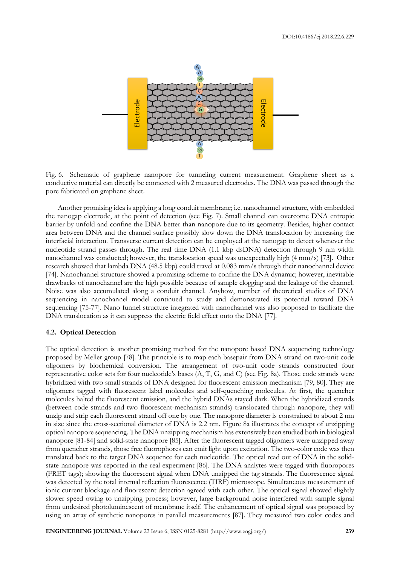

Fig. 6. Schematic of graphene nanopore for tunneling current measurement. Graphene sheet as a conductive material can directly be connected with 2 measured electrodes. The DNA was passed through the pore fabricated on graphene sheet.

Another promising idea is applying a long conduit membrane; i.e. nanochannel structure, with embedded the nanogap electrode, at the point of detection (see Fig. 7). Small channel can overcome DNA entropic barrier by unfold and confine the DNA better than nanopore due to its geometry. Besides, higher contact area between DNA and the channel surface possibly slow down the DNA translocation by increasing the interfacial interaction. Transverse current detection can be employed at the nanogap to detect whenever the nucleotide strand passes through. The real time DNA (1.1 kbp dsDNA) detection through 9 nm width nanochannel was conducted; however, the translocation speed was unexpectedly high (4 mm/s) [73]. Other research showed that lambda DNA (48.5 kbp) could travel at 0.083 mm/s through their nanochannel device [74]. Nanochannel structure showed a promising scheme to confine the DNA dynamic; however, inevitable drawbacks of nanochannel are the high possible because of sample clogging and the leakage of the channel. Noise was also accumulated along a conduit channel. Anyhow, number of theoretical studies of DNA sequencing in nanochannel model continued to study and demonstrated its potential toward DNA sequencing [75-77]. Nano funnel structure integrated with nanochannel was also proposed to facilitate the DNA translocation as it can suppress the electric field effect onto the DNA [77].

#### **4.2. Optical Detection**

The optical detection is another promising method for the nanopore based DNA sequencing technology proposed by Meller group [78]. The principle is to map each basepair from DNA strand on two-unit code oligomers by biochemical conversion. The arrangement of two-unit code strands constructed four representative color sets for four nucleotide's bases (A, T, G, and C) (see Fig. 8a). Those code strands were hybridized with two small strands of DNA designed for fluorescent emission mechanism [79, 80]. They are oligomers tagged with fluorescent label molecules and self-quenching molecules. At first, the quencher molecules halted the fluorescent emission, and the hybrid DNAs stayed dark. When the hybridized strands (between code strands and two fluorescent-mechanism strands) translocated through nanopore, they will unzip and strip each fluorescent strand off one by one. The nanopore diameter is constrained to about 2 nm in size since the cross-sectional diameter of DNA is 2.2 nm. Figure 8a illustrates the concept of unzipping optical nanopore sequencing. The DNA unzipping mechanism has extensively been studied both in biological nanopore [81-84] and solid-state nanopore [85]. After the fluorescent tagged oligomers were unzipped away from quencher strands, those free fluorophores can emit light upon excitation. The two-color code was then translated back to the target DNA sequence for each nucleotide. The optical read out of DNA in the solidstate nanopore was reported in the real experiment [86]. The DNA analytes were tagged with fluoropores (FRET tags); showing the fluorescent signal when DNA unzipped the tag strands. The fluorescence signal was detected by the total internal reflection fluorescence (TIRF) microscope. Simultaneous measurement of ionic current blockage and fluorescent detection agreed with each other. The optical signal showed slightly slower speed owing to unzipping process; however, large background noise interfered with sample signal from undesired photoluminescent of membrane itself. The enhancement of optical signal was proposed by using an array of synthetic nanopores in parallel measurements [87]. They measured two color codes and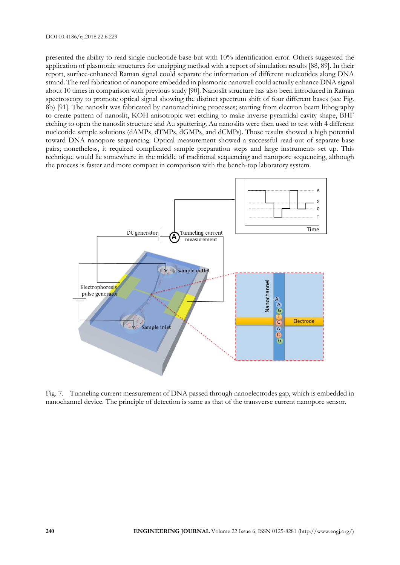presented the ability to read single nucleotide base but with 10% identification error. Others suggested the application of plasmonic structures for unzipping method with a report of simulation results [88, 89]. In their report, surface-enhanced Raman signal could separate the information of different nucleotides along DNA strand. The real fabrication of nanopore embedded in plasmonic nanowell could actually enhance DNA signal about 10 times in comparison with previous study [90]. Nanoslit structure has also been introduced in Raman spectroscopy to promote optical signal showing the distinct spectrum shift of four different bases (see Fig. 8b) [91]. The nanoslit was fabricated by nanomachining processes; starting from electron beam lithography to create pattern of nanoslit, KOH anisotropic wet etching to make inverse pyramidal cavity shape, BHF etching to open the nanoslit structure and Au sputtering. Au nanoslits were then used to test with 4 different nucleotide sample solutions (dAMPs, dTMPs, dGMPs, and dCMPs). Those results showed a high potential toward DNA nanopore sequencing. Optical measurement showed a successful read-out of separate base pairs; nonetheless, it required complicated sample preparation steps and large instruments set up. This technique would lie somewhere in the middle of traditional sequencing and nanopore sequencing, although the process is faster and more compact in comparison with the bench-top laboratory system.



Fig. 7. Tunneling current measurement of DNA passed through nanoelectrodes gap, which is embedded in nanochannel device. The principle of detection is same as that of the transverse current nanopore sensor.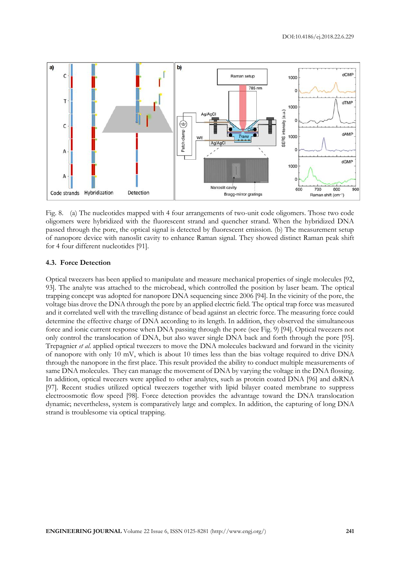

Fig. 8. (a) The nucleotides mapped with 4 four arrangements of two-unit code oligomers. Those two code oligomers were hybridized with the fluorescent strand and quencher strand. When the hybridized DNA passed through the pore, the optical signal is detected by fluorescent emission. (b) The measurement setup of nanopore device with nanoslit cavity to enhance Raman signal. They showed distinct Raman peak shift for 4 four different nucleotides [91].

## **4.3. Force Detection**

Optical tweezers has been applied to manipulate and measure mechanical properties of single molecules [92, 93]. The analyte was attached to the microbead, which controlled the position by laser beam. The optical trapping concept was adopted for nanopore DNA sequencing since 2006 [94]. In the vicinity of the pore, the voltage bias drove the DNA through the pore by an applied electric field. The optical trap force was measured and it correlated well with the travelling distance of bead against an electric force. The measuring force could determine the effective charge of DNA according to its length. In addition, they observed the simultaneous force and ionic current response when DNA passing through the pore (see Fig. 9) [94]. Optical tweezers not only control the translocation of DNA, but also waver single DNA back and forth through the pore [95]. Trepagnier *et al*. applied optical tweezers to move the DNA molecules backward and forward in the vicinity of nanopore with only 10 mV, which is about 10 times less than the bias voltage required to drive DNA through the nanopore in the first place. This result provided the ability to conduct multiple measurements of same DNA molecules. They can manage the movement of DNA by varying the voltage in the DNA flossing. In addition, optical tweezers were applied to other analytes, such as protein coated DNA [96] and dsRNA [97]. Recent studies utilized optical tweezers together with lipid bilayer coated membrane to suppress electroosmotic flow speed [98]. Force detection provides the advantage toward the DNA translocation dynamic; nevertheless, system is comparatively large and complex. In addition, the capturing of long DNA strand is troublesome via optical trapping.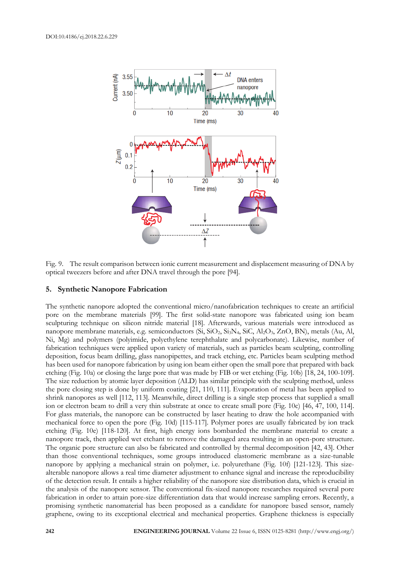

Fig. 9. The result comparison between ionic current measurement and displacement measuring of DNA by optical tweezers before and after DNA travel through the pore [94].

## **5. Synthetic Nanopore Fabrication**

The synthetic nanopore adopted the conventional micro/nanofabrication techniques to create an artificial pore on the membrane materials [99]. The first solid-state nanopore was fabricated using ion beam sculpturing technique on silicon nitride material [18]. Afterwards, various materials were introduced as nanopore membrane materials, e.g. semiconductors (Si, SiO<sub>2</sub>, Si<sub>3</sub>N<sub>4</sub>, SiC, Al<sub>2</sub>O<sub>3</sub>, ZnO, BN), metals (Au, Al, Ni, Mg) and polymers (polyimide, polyethylene terephthalate and polycarbonate). Likewise, number of fabrication techniques were applied upon variety of materials, such as particles beam sculpting, controlling deposition, focus beam drilling, glass nanopipettes, and track etching, etc. Particles beam sculpting method has been used for nanopore fabrication by using ion beam either open the small pore that prepared with back etching (Fig. 10a) or closing the large pore that was made by FIB or wet etching (Fig. 10b) [18, 24, 100-109]. The size reduction by atomic layer deposition (ALD) has similar principle with the sculpting method, unless the pore closing step is done by uniform coating [21, 110, 111]. Evaporation of metal has been applied to shrink nanopores as well [112, 113]. Meanwhile, direct drilling is a single step process that supplied a small ion or electron beam to drill a very thin substrate at once to create small pore (Fig. 10c) [46, 47, 100, 114]. For glass materials, the nanopore can be constructed by laser heating to draw the hole accompanied with mechanical force to open the pore (Fig. 10d) [115-117]. Polymer pores are usually fabricated by ion track etching (Fig. 10e) [118-120]. At first, high energy ions bombarded the membrane material to create a nanopore track, then applied wet etchant to remove the damaged area resulting in an open-pore structure. The organic pore structure can also be fabricated and controlled by thermal decomposition [42, 43]. Other than those conventional techniques, some groups introduced elastomeric membrane as a size-tunable nanopore by applying a mechanical strain on polymer, i.e. polyurethane (Fig. 10f) [121-123]. This sizealterable nanopore allows a real time diameter adjustment to enhance signal and increase the reproducibility of the detection result. It entails a higher reliability of the nanopore size distribution data, which is crucial in the analysis of the nanopore sensor. The conventional fix-sized nanopore researches required several pore fabrication in order to attain pore-size differentiation data that would increase sampling errors. Recently, a promising synthetic nanomaterial has been proposed as a candidate for nanopore based sensor, namely graphene, owing to its exceptional electrical and mechanical properties. Graphene thickness is especially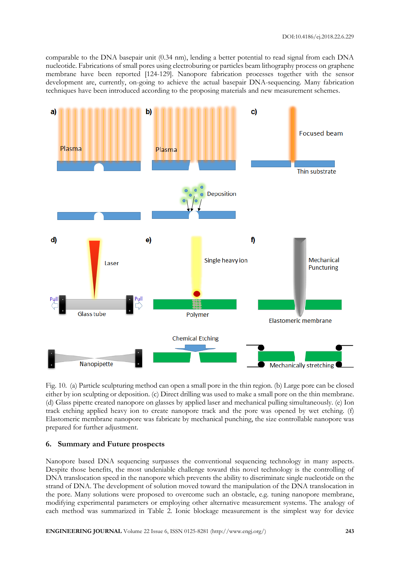comparable to the DNA basepair unit (0.34 nm), lending a better potential to read signal from each DNA nucleotide. Fabrications of small pores using electroburing or particles beam lithography process on graphene membrane have been reported [124-129]. Nanopore fabrication processes together with the sensor development are, currently, on-going to achieve the actual basepair DNA-sequencing. Many fabrication techniques have been introduced according to the proposing materials and new measurement schemes.



Fig. 10. (a) Particle sculpturing method can open a small pore in the thin region. (b) Large pore can be closed either by ion sculpting or deposition. (c) Direct drilling was used to make a small pore on the thin membrane. (d) Glass pipette created nanopore on glasses by applied laser and mechanical pulling simultaneously. (e) Ion track etching applied heavy ion to create nanopore track and the pore was opened by wet etching. (f) Elastomeric membrane nanopore was fabricate by mechanical punching, the size controllable nanopore was prepared for further adjustment.

## **6. Summary and Future prospects**

Nanopore based DNA sequencing surpasses the conventional sequencing technology in many aspects. Despite those benefits, the most undeniable challenge toward this novel technology is the controlling of DNA translocation speed in the nanopore which prevents the ability to discriminate single nucleotide on the strand of DNA. The development of solution moved toward the manipulation of the DNA translocation in the pore. Many solutions were proposed to overcome such an obstacle, e.g. tuning nanopore membrane, modifying experimental parameters or employing other alternative measurement systems. The analogy of each method was summarized in Table 2. Ionic blockage measurement is the simplest way for device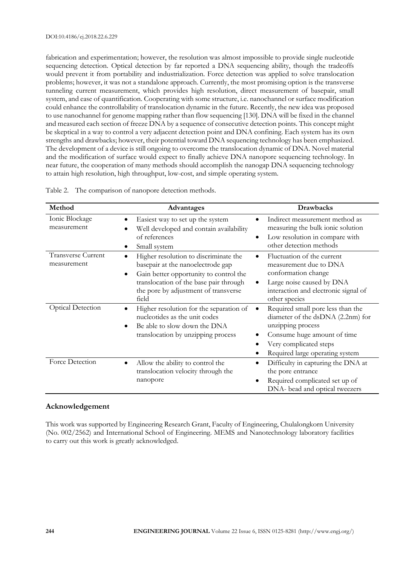fabrication and experimentation; however, the resolution was almost impossible to provide single nucleotide sequencing detection. Optical detection by far reported a DNA sequencing ability, though the tradeoffs would prevent it from portability and industrialization. Force detection was applied to solve translocation problems; however, it was not a standalone approach. Currently, the most promising option is the transverse tunneling current measurement, which provides high resolution, direct measurement of basepair, small system, and ease of quantification. Cooperating with some structure, i.e. nanochannel or surface modification could enhance the controllability of translocation dynamic in the future. Recently, the new idea was proposed to use nanochannel for genome mapping rather than flow sequencing [130]. DNA will be fixed in the channel and measured each section of freeze DNA by a sequence of consecutive detection points. This concept might be skeptical in a way to control a very adjacent detection point and DNA confining. Each system has its own strengths and drawbacks; however, their potential toward DNA sequencing technology has been emphasized. The development of a device is still ongoing to overcome the translocation dynamic of DNA. Novel material and the modification of surface would expect to finally achieve DNA nanopore sequencing technology. In near future, the cooperation of many methods should accomplish the nanogap DNA sequencing technology to attain high resolution, high throughput, low-cost, and simple operating system.

| Method                            | Advantages                                                                                                                                                                                                                        | <b>Drawbacks</b>                                                                                                                                                                        |
|-----------------------------------|-----------------------------------------------------------------------------------------------------------------------------------------------------------------------------------------------------------------------------------|-----------------------------------------------------------------------------------------------------------------------------------------------------------------------------------------|
| Ionic Blockage<br>measurement     | Easiest way to set up the system<br>٠<br>Well developed and contain availability<br>of references<br>Small system                                                                                                                 | Indirect measurement method as<br>measuring the bulk ionic solution<br>Low resolution in compare with<br>$\bullet$<br>other detection methods                                           |
| Transverse Current<br>measurement | Higher resolution to discriminate the<br>$\bullet$<br>basepair at the nanoelectrode gap<br>Gain better opportunity to control the<br>٠<br>translocation of the base pair through<br>the pore by adjustment of transverse<br>field | Fluctuation of the current<br>measurement due to DNA<br>conformation change<br>Large noise caused by DNA<br>$\bullet$<br>interaction and electronic signal of<br>other species          |
| <b>Optical Detection</b>          | Higher resolution for the separation of<br>nucleotides as the unit codes<br>Be able to slow down the DNA<br>$\bullet$<br>translocation by unzipping process                                                                       | Required small pore less than the<br>diameter of the dsDNA (2.2nm) for<br>unzipping process<br>Consume huge amount of time<br>Very complicated steps<br>Required large operating system |
| Force Detection                   | Allow the ability to control the<br>٠<br>translocation velocity through the<br>nanopore                                                                                                                                           | Difficulty in capturing the DNA at<br>٠<br>the pore entrance<br>Required complicated set up of<br>DNA- bead and optical tweezers                                                        |

Table 2. The comparison of nanopore detection methods.

## **Acknowledgement**

This work was supported by Engineering Research Grant, Faculty of Engineering, Chulalongkorn University (No. 002/2562) and International School of Engineering. MEMS and Nanotechnology laboratory facilities to carry out this work is greatly acknowledged.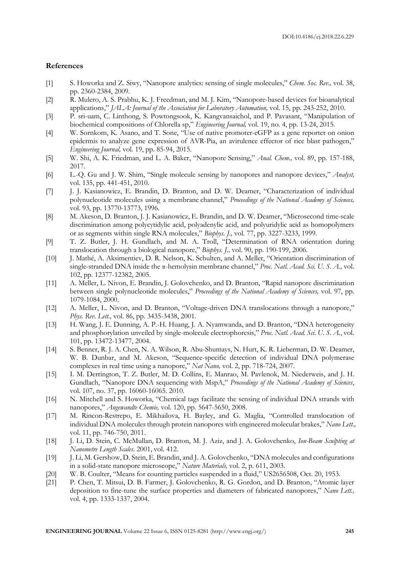## **References**

- [1] S. Howorka and Z. Siwy, "Nanopore analytics: sensing of single molecules," *Chem. Soc. Rev.,* vol. 38, pp. 2360-2384, 2009.
- [2] R. Mulero, A. S. Prabhu, K. J. Freedman, and M. J. Kim, "Nanopore-based devices for bioanalytical applications," *JALA: Journal of the Association for Laboratory Automation,* vol. 15, pp. 243-252, 2010.
- [3] P. sri-uam, C. Linthong, S. Powtongsook, K. Kangvansaichol, and P. Pavasant, "Manipulation of biochemical compositions of Chlorella sp," *Engineering Journal,* vol. 19, no. 4, pp. 13-24, 2015.
- [4] W. Sornkom, K. Asano, and T. Sone, "Use of native promoter-eGFP as a gene reporter on onion epidermis to analyze gene expression of AVR-Pia, an avirulence effector of rice blast pathogen," *Engineering Journal,* vol. 19, pp. 85-94, 2015.
- [5] W. Shi, A. K. Friedman, and L. A. Baker, "Nanopore Sensing," *Anal. Chem.,* vol. 89, pp. 157-188, 2017.
- [6] L.-Q. Gu and J. W. Shim, "Single molecule sensing by nanopores and nanopore devices," *Analyst,*  vol. 135, pp. 441-451, 2010.
- [7] J. J. Kasianowicz, E. Brandin, D. Branton, and D. W. Deamer, "Characterization of individual polynucleotide molecules using a membrane channel," *Proceedings of the National Academy of Sciences,*  vol. 93, pp. 13770-13773, 1996.
- [8] M. Akeson, D. Branton, J. J. Kasianowicz, E. Brandin, and D. W. Deamer, "Microsecond time-scale discrimination among polycytidylic acid, polyadenylic acid, and polyuridylic acid as homopolymers or as segments within single RNA molecules," *Biophys. J.,* vol. 77, pp. 3227-3233, 1999.
- [9] T. Z. Butler, J. H. Gundlach, and M. A. Troll, "Determination of RNA orientation during translocation through a biological nanopore," *Biophys. J.,* vol. 90, pp. 190-199, 2006.
- [10] J. Mathé, A. Aksimentiev, D. R. Nelson, K. Schulten, and A. Meller, "Orientation discrimination of single-stranded DNA inside the α-hemolysin membrane channel," *Proc. Natl. Acad. Sci. U. S. A.,* vol. 102, pp. 12377-12382, 2005.
- [11] A. Meller, L. Nivon, E. Brandin, J. Golovchenko, and D. Branton, "Rapid nanopore discrimination between single polynucleotide molecules," *Proceedings of the National Academy of Sciences,* vol. 97, pp. 1079-1084, 2000.
- [12] A. Meller, L. Nivon, and D. Branton, "Voltage-driven DNA translocations through a nanopore," *Phys. Rev. Lett.,* vol. 86, pp. 3435-3438, 2001.
- [13] H. Wang, J. E. Dunning, A. P.-H. Huang, J. A. Nyamwanda, and D. Branton, "DNA heterogeneity and phosphorylation unveiled by single-molecule electrophoresis," *Proc. Natl. Acad. Sci. U. S. A.*, vol. 101, pp. 13472-13477, 2004.
- [14] S. Benner, R. J. A. Chen, N. A. Wilson, R. Abu-Shumays, N. Hurt, K. R. Lieberman, D. W. Deamer, W. B. Dunbar, and M. Akeson, "Sequence-specific detection of individual DNA polymerase complexes in real time using a nanopore," *Nat Nano,* vol. 2, pp. 718-724, 2007.
- [15] I. M. Derrington, T. Z. Butler, M. D. Collins, E. Manrao, M. Pavlenok, M. Niederweis, and J. H. Gundlach, "Nanopore DNA sequencing with MspA," *Proceedings of the National Academy of Sciences*, vol. 107, no. 37, pp. 16060-16065. 2010.
- [16] N. Mitchell and S. Howorka, "Chemical tags facilitate the sensing of individual DNA strands with nanopores," *Angewandte Chemie,* vol. 120, pp. 5647-5650, 2008.
- [17] M. Rincon-Restrepo, E. Mikhailova, H. Bayley, and G. Maglia, "Controlled translocation of individual DNA molecules through protein nanopores with engineered molecular brakes," *Nano Lett.,*  vol. 11, pp. 746-750, 2011.
- [18] J. Li, D. Stein, C. McMullan, D. Branton, M. J. Aziz, and J. A. Golovchenko, *Ion-Beam Sculpting at Nanometre Length Scales*. 2001, vol. 412.
- [19] J. Li, M. Gershow, D. Stein, E. Brandin, and J. A. Golovchenko, "DNA molecules and configurations in a solid-state nanopore microscope," *Nature Materials,* vol. 2, p. 611, 2003.
- [20] W. B. Coulter, "Means for counting particles suspended in a fluid," US2656508, Oct. 20, 1953.
- [21] P. Chen, T. Mitsui, D. B. Farmer, J. Golovchenko, R. G. Gordon, and D. Branton, "Atomic layer deposition to fine-tune the surface properties and diameters of fabricated nanopores," *Nano Lett.,*  vol. 4, pp. 1333-1337, 2004.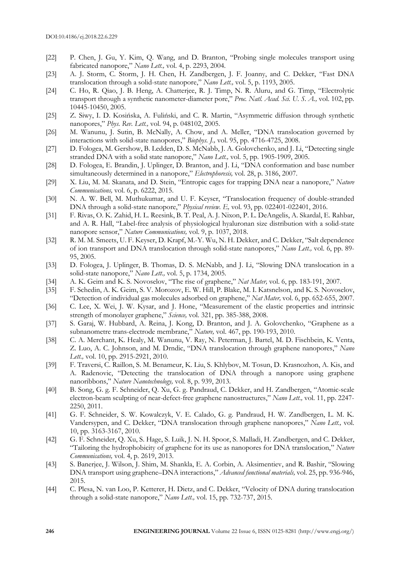- [22] P. Chen, J. Gu, Y. Kim, Q. Wang, and D. Branton, "Probing single molecules transport using fabricated nanopore," *Nano Lett.,* vol. 4, p. 2293, 2004.
- [23] A. J. Storm, C. Storm, J. H. Chen, H. Zandbergen, J. F. Joanny, and C. Dekker, "Fast DNA translocation through a solid-state nanopore," *Nano Lett.,* vol. 5, p. 1193, 2005.
- [24] C. Ho, R. Qiao, J. B. Heng, A. Chatterjee, R. J. Timp, N. R. Aluru, and G. Timp, "Electrolytic transport through a synthetic nanometer-diameter pore," *Proc. Natl. Acad. Sci. U. S. A.,* vol. 102, pp. 10445-10450, 2005.
- [25] Z. Siwy, I. D. Kosińska, A. Fuliński, and C. R. Martin, "Asymmetric diffusion through synthetic nanopores," *Phys. Rev. Lett.,* vol. 94, p. 048102, 2005.
- [26] M. Wanunu, J. Sutin, B. McNally, A. Chow, and A. Meller, "DNA translocation governed by interactions with solid-state nanopores," *Biophys. J.,* vol. 95, pp. 4716-4725, 2008.
- [27] D. Fologea, M. Gershow, B. Ledden, D. S. McNabb, J. A. Golovchenko, and J. Li, "Detecting single stranded DNA with a solid state nanopore," *Nano Lett.,* vol. 5, pp. 1905-1909, 2005.
- [28] D. Fologea, E. Brandin, J. Uplinger, D. Branton, and J. Li, "DNA conformation and base number simultaneously determined in a nanopore," *Electrophoresis,* vol. 28, p. 3186, 2007.
- [29] X. Liu, M. M. Skanata, and D. Stein, "Entropic cages for trapping DNA near a nanopore," *Nature Communications,* vol. 6, p. 6222, 2015.
- [30] N. A. W. Bell, M. Muthukumar, and U. F. Keyser, "Translocation frequency of double-stranded DNA through a solid-state nanopore," *Physical review. E,* vol. 93, pp. 022401-022401, 2016.
- [31] F. Rivas, O. K. Zahid, H. L. Reesink, B. T. Peal, A. J. Nixon, P. L. DeAngelis, A. Skardal, E. Rahbar, and A. R. Hall, "Label-free analysis of physiological hyaluronan size distribution with a solid-state nanopore sensor," *Nature Communications,* vol. 9, p. 1037, 2018.
- [32] R. M. M. Smeets, U. F. Keyser, D. Krapf, M.-Y. Wu, N. H. Dekker, and C. Dekker, "Salt dependence of ion transport and DNA translocation through solid-state nanopores," *Nano Lett.,* vol. 6, pp. 89- 95, 2005.
- [33] D. Fologea, J. Uplinger, B. Thomas, D. S. McNabb, and J. Li, "Slowing DNA translocation in a solid-state nanopore," *Nano Lett.,* vol. 5, p. 1734, 2005.
- [34] A. K. Geim and K. S. Novoselov, "The rise of graphene," *Nat Mater,* vol. 6, pp. 183-191, 2007.
- [35] F. Schedin, A. K. Geim, S. V. Morozov, E. W. Hill, P. Blake, M. I. Katsnelson, and K. S. Novoselov, "Detection of individual gas molecules adsorbed on graphene," *Nat Mater,* vol. 6, pp. 652-655, 2007.
- [36] C. Lee, X. Wei, J. W. Kysar, and J. Hone, "Measurement of the elastic properties and intrinsic strength of monolayer graphene," *Science,* vol. 321, pp. 385-388, 2008.
- [37] S. Garaj, W. Hubbard, A. Reina, J. Kong, D. Branton, and J. A. Golovchenko, "Graphene as a subnanometre trans-electrode membrane," *Nature,* vol. 467, pp. 190-193, 2010.
- [38] C. A. Merchant, K. Healy, M. Wanunu, V. Ray, N. Peterman, J. Bartel, M. D. Fischbein, K. Venta, Z. Luo, A. C. Johnson, and M. Drndic, "DNA translocation through graphene nanopores," *Nano Lett.,* vol. 10, pp. 2915-2921, 2010.
- [39] F. Traversi, C. Raillon, S. M. Benameur, K. Liu, S. Khlybov, M. Tosun, D. Krasnozhon, A. Kis, and A. Radenovic, "Detecting the translocation of DNA through a nanopore using graphene nanoribbons," *Nature Nanotechnology,* vol. 8, p. 939, 2013.
- [40] B. Song, G. g. F. Schneider, Q. Xu, G. g. Pandraud, C. Dekker, and H. Zandbergen, "Atomic-scale electron-beam sculpting of near-defect-free graphene nanostructures," *Nano Lett.,* vol. 11, pp. 2247- 2250, 2011.
- [41] G. F. Schneider, S. W. Kowalczyk, V. E. Calado, G. g. Pandraud, H. W. Zandbergen, L. M. K. Vandersypen, and C. Dekker, "DNA translocation through graphene nanopores," *Nano Lett.,* vol. 10, pp. 3163-3167, 2010.
- [42] G. F. Schneider, Q. Xu, S. Hage, S. Luik, J. N. H. Spoor, S. Malladi, H. Zandbergen, and C. Dekker, "Tailoring the hydrophobicity of graphene for its use as nanopores for DNA translocation," *Nature Communications,* vol. 4, p. 2619, 2013.
- [43] S. Banerjee, J. Wilson, J. Shim, M. Shankla, E. A. Corbin, A. Aksimentiev, and R. Bashir, "Slowing DNA transport using graphene–DNA interactions," *Advanced functional materials,* vol. 25, pp. 936-946, 2015.
- [44] C. Plesa, N. van Loo, P. Ketterer, H. Dietz, and C. Dekker, "Velocity of DNA during translocation through a solid-state nanopore," *Nano Lett.,* vol. 15, pp. 732-737, 2015.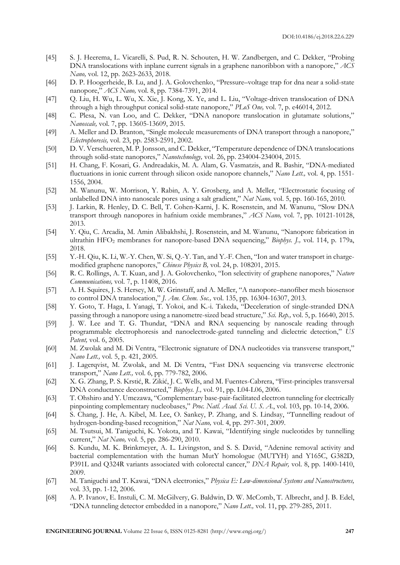- [45] S. J. Heerema, L. Vicarelli, S. Pud, R. N. Schouten, H. W. Zandbergen, and C. Dekker, "Probing DNA translocations with inplane current signals in a graphene nanoribbon with a nanopore," *ACS Nano,* vol. 12, pp. 2623-2633, 2018.
- [46] D. P. Hoogerheide, B. Lu, and J. A. Golovchenko, "Pressure–voltage trap for dna near a solid-state nanopore," *ACS Nano,* vol. 8, pp. 7384-7391, 2014.
- [47] Q. Liu, H. Wu, L. Wu, X. Xie, J. Kong, X. Ye, and L. Liu, "Voltage-driven translocation of DNA through a high throughput conical solid-state nanopore," *PLoS One,* vol. 7, p. e46014, 2012.
- [48] C. Plesa, N. van Loo, and C. Dekker, "DNA nanopore translocation in glutamate solutions," *Nanoscale,* vol. 7, pp. 13605-13609, 2015.
- [49] A. Meller and D. Branton, "Single molecule measurements of DNA transport through a nanopore," *Electrophoresis,* vol. 23, pp. 2583-2591, 2002.
- [50] D. V. Verschueren, M. P. Jonsson, and C. Dekker, "Temperature dependence of DNA translocations through solid-state nanopores," *Nanotechnology,* vol. 26, pp. 234004-234004, 2015.
- [51] H. Chang, F. Kosari, G. Andreadakis, M. A. Alam, G. Vasmatzis, and R. Bashir, "DNA-mediated fluctuations in ionic current through silicon oxide nanopore channels," *Nano Lett.,* vol. 4, pp. 1551- 1556, 2004.
- [52] M. Wanunu, W. Morrison, Y. Rabin, A. Y. Grosberg, and A. Meller, "Electrostatic focusing of unlabelled DNA into nanoscale pores using a salt gradient," *Nat Nano,* vol. 5, pp. 160-165, 2010.
- [53] J. Larkin, R. Henley, D. C. Bell, T. Cohen-Karni, J. K. Rosenstein, and M. Wanunu, "Slow DNA transport through nanopores in hafnium oxide membranes," *ACS Nano,* vol. 7, pp. 10121-10128, 2013.
- [54] Y. Qiu, C. Arcadia, M. Amin Alibakhshi, J. Rosenstein, and M. Wanunu, "Nanopore fabrication in ultrathin HFO<sub>2</sub> membranes for nanopore-based DNA sequencing," *Biophys. J.*, vol. 114, p. 179a, 2018.
- [55] Y.-H. Qiu, K. Li, W.-Y. Chen, W. Si, Q.-Y. Tan, and Y.-F. Chen, "Ion and water transport in chargemodified graphene nanopores," *Chinese Physics B,* vol. 24, p. 108201, 2015.
- [56] R. C. Rollings, A. T. Kuan, and J. A. Golovchenko, "Ion selectivity of graphene nanopores," *Nature Communications,* vol. 7, p. 11408, 2016.
- [57] A. H. Squires, J. S. Hersey, M. W. Grinstaff, and A. Meller, "A nanopore–nanofiber mesh biosensor to control DNA translocation," *J. Am. Chem. Soc.,* vol. 135, pp. 16304-16307, 2013.
- [58] Y. Goto, T. Haga, I. Yanagi, T. Yokoi, and K.-i. Takeda, "Deceleration of single-stranded DNA passing through a nanopore using a nanometre-sized bead structure," *Sci. Rep.,* vol. 5, p. 16640, 2015.
- [59] J. W. Lee and T. G. Thundat, "DNA and RNA sequencing by nanoscale reading through programmable electrophoresis and nanoelectrode-gated tunneling and dielectric detection," *US Patent,* vol. 6, 2005.
- [60] M. Zwolak and M. Di Ventra, "Electronic signature of DNA nucleotides via transverse transport," *Nano Lett.,* vol. 5, p. 421, 2005.
- [61] J. Lagerqvist, M. Zwolak, and M. Di Ventra, "Fast DNA sequencing via transverse electronic transport," *Nano Lett.,* vol. 6, pp. 779-782, 2006.
- [62] X. G. Zhang, P. S. Krstić, R. Zikić, J. C. Wells, and M. Fuentes-Cabrera, "First-principles transversal DNA conductance deconstructed," *Biophys. J.,* vol. 91, pp. L04-L06, 2006.
- [63] T. Ohshiro and Y. Umezawa, "Complementary base-pair-facilitated electron tunneling for electrically pinpointing complementary nucleobases," *Proc. Natl. Acad. Sci. U. S. A.*, vol. 103, pp. 10-14, 2006.
- [64] S. Chang, J. He, A. Kibel, M. Lee, O. Sankey, P. Zhang, and S. Lindsay, "Tunnelling readout of hydrogen-bonding-based recognition," *Nat Nano,* vol. 4, pp. 297-301, 2009.
- [65] M. Tsutsui, M. Taniguchi, K. Yokota, and T. Kawai, "Identifying single nucleotides by tunnelling current," *Nat Nano,* vol. 5, pp. 286-290, 2010.
- [66] S. Kundu, M. K. Brinkmeyer, A. L. Livingston, and S. S. David, "Adenine removal activity and bacterial complementation with the human MutY homologue (MUTYH) and Y165C, G382D, P391L and Q324R variants associated with colorectal cancer," *DNA Repair,* vol. 8, pp. 1400-1410, 2009.
- [67] M. Taniguchi and T. Kawai, "DNA electronics," *Physica E: Low-dimensional Systems and Nanostructures,*  vol. 33, pp. 1-12, 2006.
- [68] A. P. Ivanov, E. Instuli, C. M. McGilvery, G. Baldwin, D. W. McComb, T. Albrecht, and J. B. Edel, "DNA tunneling detector embedded in a nanopore," *Nano Lett.,* vol. 11, pp. 279-285, 2011.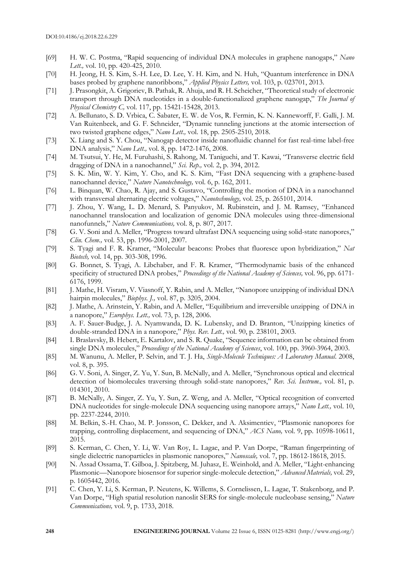- [69] H. W. C. Postma, "Rapid sequencing of individual DNA molecules in graphene nanogaps," *Nano Lett.,* vol. 10, pp. 420-425, 2010.
- [70] H. Jeong, H. S. Kim, S.-H. Lee, D. Lee, Y. H. Kim, and N. Huh, "Quantum interference in DNA bases probed by graphene nanoribbons," *Applied Physics Letters,* vol. 103, p. 023701, 2013.
- [71] J. Prasongkit, A. Grigoriev, B. Pathak, R. Ahuja, and R. H. Scheicher, "Theoretical study of electronic transport through DNA nucleotides in a double-functionalized graphene nanogap," *The Journal of Physical Chemistry C,* vol. 117, pp. 15421-15428, 2013.
- [72] A. Bellunato, S. D. Vrbica, C. Sabater, E. W. de Vos, R. Fermin, K. N. Kanneworff, F. Galli, J. M. Van Ruitenbeek, and G. F. Schneider, "Dynamic tunneling junctions at the atomic intersection of two twisted graphene edges," *Nano Lett.,* vol. 18, pp. 2505-2510, 2018.
- [73] X. Liang and S. Y. Chou, "Nanogap detector inside nanofluidic channel for fast real-time label-free DNA analysis," *Nano Lett.,* vol. 8, pp. 1472-1476, 2008.
- [74] M. Tsutsui, Y. He, M. Furuhashi, S. Rahong, M. Taniguchi, and T. Kawai, "Transverse electric field dragging of DNA in a nanochannel," *Sci. Rep.,* vol. 2, p. 394, 2012.
- [75] S. K. Min, W. Y. Kim, Y. Cho, and K. S. Kim, "Fast DNA sequencing with a graphene-based nanochannel device," *Nature Nanotechnology,* vol. 6, p. 162, 2011.
- [76] L. Binquan, W. Chao, R. Ajay, and S. Gustavo, "Controlling the motion of DNA in a nanochannel with transversal alternating electric voltages," *Nanotechnology,* vol. 25, p. 265101, 2014.
- [77] J. Zhou, Y. Wang, L. D. Menard, S. Panyukov, M. Rubinstein, and J. M. Ramsey, "Enhanced nanochannel translocation and localization of genomic DNA molecules using three-dimensional nanofunnels," *Nature Communications,* vol. 8, p. 807, 2017.
- [78] G. V. Soni and A. Meller, "Progress toward ultrafast DNA sequencing using solid-state nanopores," *Clin. Chem.,* vol. 53, pp. 1996-2001, 2007.
- [79] S. Tyagi and F. R. Kramer, "Molecular beacons: Probes that fluoresce upon hybridization," *Nat Biotech,* vol. 14, pp. 303-308, 1996.
- [80] G. Bonnet, S. Tyagi, A. Libchaber, and F. R. Kramer, "Thermodynamic basis of the enhanced specificity of structured DNA probes," *Proceedings of the National Academy of Sciences,* vol. 96, pp. 6171- 6176, 1999.
- [81] J. Mathe, H. Visram, V. Viasnoff, Y. Rabin, and A. Meller, "Nanopore unzipping of individual DNA hairpin molecules," *Biophys. J.,* vol. 87, p. 3205, 2004.
- [82] J. Mathe, A. Arinstein, Y. Rabin, and A. Meller, "Equilibrium and irreversible unzipping of DNA in a nanopore," *Europhys. Lett.,* vol. 73, p. 128, 2006.
- [83] A. F. Sauer-Budge, J. A. Nyamwanda, D. K. Lubensky, and D. Branton, "Unzipping kinetics of double-stranded DNA in a nanopore," *Phys. Rev. Lett.,* vol. 90, p. 238101, 2003.
- [84] I. Braslavsky, B. Hebert, E. Kartalov, and S. R. Quake, "Sequence information can be obtained from single DNA molecules," *Proceedings of the National Academy of Sciences*, vol. 100, pp. 3960-3964, 2003.
- [85] M. Wanunu, A. Meller, P. Selvin, and T. J. Ha, *Single-Molecule Techniques: A Laboratory Manual*. 2008, vol. 8, p. 395.
- [86] G. V. Soni, A. Singer, Z. Yu, Y. Sun, B. McNally, and A. Meller, "Synchronous optical and electrical detection of biomolecules traversing through solid-state nanopores," *Rev. Sci. Instrum.,* vol. 81, p. 014301, 2010.
- [87] B. McNally, A. Singer, Z. Yu, Y. Sun, Z. Weng, and A. Meller, "Optical recognition of converted DNA nucleotides for single-molecule DNA sequencing using nanopore arrays," *Nano Lett.,* vol. 10, pp. 2237-2244, 2010.
- [88] M. Belkin, S.-H. Chao, M. P. Jonsson, C. Dekker, and A. Aksimentiev, "Plasmonic nanopores for trapping, controlling displacement, and sequencing of DNA," *ACS Nano,* vol. 9, pp. 10598-10611, 2015.
- [89] S. Kerman, C. Chen, Y. Li, W. Van Roy, L. Lagae, and P. Van Dorpe, "Raman fingerprinting of single dielectric nanoparticles in plasmonic nanopores," *Nanoscale,* vol. 7, pp. 18612-18618, 2015.
- [90] N. Assad Ossama, T. Gilboa, J. Spitzberg, M. Juhasz, E. Weinhold, and A. Meller, "Light-enhancing Plasmonic—Nanopore biosensor for superior single-molecule detection," *Advanced Materials,* vol. 29, p. 1605442, 2016.
- [91] C. Chen, Y. Li, S. Kerman, P. Neutens, K. Willems, S. Cornelissen, L. Lagae, T. Stakenborg, and P. Van Dorpe, "High spatial resolution nanoslit SERS for single-molecule nucleobase sensing," *Nature Communications,* vol. 9, p. 1733, 2018.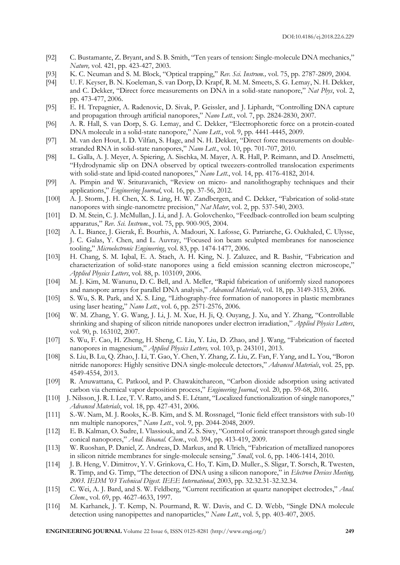- [92] C. Bustamante, Z. Bryant, and S. B. Smith, "Ten years of tension: Single-molecule DNA mechanics," *Nature,* vol. 421, pp. 423-427, 2003.
- [93] K. C. Neuman and S. M. Block, "Optical trapping," *Rev. Sci. Instrum.,* vol. 75, pp. 2787-2809, 2004.
- [94] U. F. Keyser, B. N. Koeleman, S. van Dorp, D. Krapf, R. M. M. Smeets, S. G. Lemay, N. H. Dekker, and C. Dekker, "Direct force measurements on DNA in a solid-state nanopore," *Nat Phys*, vol. 2, pp. 473-477, 2006.
- [95] E. H. Trepagnier, A. Radenovic, D. Sivak, P. Geissler, and J. Liphardt, "Controlling DNA capture and propagation through artificial nanopores," *Nano Lett.*, vol. 7, pp. 2824-2830, 2007.
- [96] A. R. Hall, S. van Dorp, S. G. Lemay, and C. Dekker, "Electrophoretic force on a protein-coated DNA molecule in a solid-state nanopore," *Nano Lett.*, vol. 9, pp. 4441-4445, 2009.
- [97] M. van den Hout, I. D. Vilfan, S. Hage, and N. H. Dekker, "Direct force measurements on doublestranded RNA in solid-state nanopores," *Nano Lett.*, vol. 10, pp. 701-707, 2010.
- [98] L. Galla, A. J. Meyer, A. Spiering, A. Sischka, M. Mayer, A. R. Hall, P. Reimann, and D. Anselmetti, "Hydrodynamic slip on DNA observed by optical tweezers-controlled translocation experiments with solid-state and lipid-coated nanopores," *Nano Lett.*, vol. 14, pp. 4176-4182, 2014.
- [99] A. Pimpin and W. Srituravanich, "Review on micro- and nanolithography techniques and their applications," *Engineering Journal*, vol. 16, pp. 37-56, 2012.
- [100] A. J. Storm, J. H. Chen, X. S. Ling, H. W. Zandbergen, and C. Dekker, "Fabrication of solid-state nanopores with single-nanometre precision," *Nat Mater*, vol. 2, pp. 537-540, 2003.
- [101] D. M. Stein, C. J. McMullan, J. Li, and J. A. Golovchenko, "Feedback-controlled ion beam sculpting apparatus," *Rev. Sci. Instrum.*, vol. 75, pp. 900-905, 2004.
- [102] A. L. Biance, J. Gierak, É. Bourhis, A. Madouri, X. Lafosse, G. Patriarche, G. Oukhaled, C. Ulysse, J. C. Galas, Y. Chen, and L. Auvray, "Focused ion beam sculpted membranes for nanoscience tooling," *Microelectronic Engineering*, vol. 83, pp. 1474-1477, 2006.
- [103] H. Chang, S. M. Iqbal, E. A. Stach, A. H. King, N. J. Zaluzec, and R. Bashir, "Fabrication and characterization of solid-state nanopores using a field emission scanning electron microscope," *Applied Physics Letters*, vol. 88, p. 103109, 2006.
- [104] M. J. Kim, M. Wanunu, D. C. Bell, and A. Meller, "Rapid fabrication of uniformly sized nanopores and nanopore arrays for parallel DNA analysis," *Advanced Materials*, vol. 18, pp. 3149-3153, 2006.
- [105] S. Wu, S. R. Park, and X. S. Ling, "Lithography-free formation of nanopores in plastic membranes using laser heating," *Nano Lett.*, vol. 6, pp. 2571-2576, 2006.
- [106] W. M. Zhang, Y. G. Wang, J. Li, J. M. Xue, H. Ji, Q. Ouyang, J. Xu, and Y. Zhang, "Controllable shrinking and shaping of silicon nitride nanopores under electron irradiation," *Applied Physics Letters*, vol. 90, p. 163102, 2007.
- [107] S. Wu, F. Cao, H. Zheng, H. Sheng, C. Liu, Y. Liu, D. Zhao, and J. Wang, "Fabrication of faceted nanopores in magnesium," *Applied Physics Letters,* vol. 103, p. 243101, 2013.
- [108] S. Liu, B. Lu, Q. Zhao, J. Li, T. Gao, Y. Chen, Y. Zhang, Z. Liu, Z. Fan, F. Yang, and L. You, "Boron nitride nanopores: Highly sensitive DNA single-molecule detectors," *Advanced Materials*, vol. 25, pp. 4549-4554, 2013.
- [109] R. Anuwattana, C. Patkool, and P. Chawakitchareon, "Carbon dioxide adsorption using activated carbon via chemical vapor deposition process," *Engineering Journal*, vol. 20, pp. 59-68, 2016.
- [110] J. Nilsson, J. R. I. Lee, T. V. Ratto, and S. E. Létant, "Localized functionalization of single nanopores," *Advanced Materials*, vol. 18, pp. 427-431, 2006.
- [111] S.-W. Nam, M. J. Rooks, K.-B. Kim, and S. M. Rossnagel, "Ionic field effect transistors with sub-10 nm multiple nanopores," *Nano Lett.*, vol. 9, pp. 2044-2048, 2009.
- [112] E. B. Kalman, O. Sudre, I. Vlassiouk, and Z. S. Siwy, "Control of ionic transport through gated single conical nanopores," *Anal. Bioanal. Chem.*, vol. 394, pp. 413-419, 2009.
- [113] W. Ruoshan, P. Daniel, Z. Andreas, D. Markus, and R. Ulrich, "Fabrication of metallized nanopores in silicon nitride membranes for single-molecule sensing," *Small*, vol. 6, pp. 1406-1414, 2010.
- [114] J. B. Heng, V. Dimitrov, Y. V. Grinkova, C. Ho, T. Kim, D. Muller*.*, S. Sligar, T. Sorsch, R. Twesten, R. Timp, and G. Timp, "The detection of DNA using a silicon nanopore," in *Electron Devices Meeting, 2003. IEDM '03 Technical Digest. IEEE International*, 2003, pp. 32.32.31-32.32.34.
- [115] C. Wei, A. J. Bard, and S. W. Feldberg, "Current rectification at quartz nanopipet electrodes," *Anal. Chem.*, vol. 69, pp. 4627-4633, 1997.
- [116] M. Karhanek, J. T. Kemp, N. Pourmand, R. W. Davis, and C. D. Webb, "Single DNA molecule detection using nanopipettes and nanoparticles," *Nano Lett.*, vol. 5, pp. 403-407, 2005.